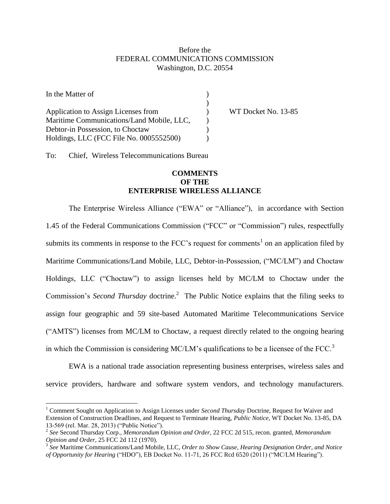## Before the FEDERAL COMMUNICATIONS COMMISSION Washington, D.C. 20554

| In the Matter of                          |  |
|-------------------------------------------|--|
|                                           |  |
| Application to Assign Licenses from       |  |
| Maritime Communications/Land Mobile, LLC, |  |
| Debtor-in Possession, to Choctaw          |  |
| Holdings, LLC (FCC File No. 0005552500)   |  |

WT Docket No. 13-85

To: Chief, Wireless Telecommunications Bureau

 $\overline{a}$ 

## **COMMENTS OF THE ENTERPRISE WIRELESS ALLIANCE**

The Enterprise Wireless Alliance ("EWA" or "Alliance"), in accordance with Section 1.45 of the Federal Communications Commission ("FCC" or "Commission") rules, respectfully submits its comments in response to the FCC's request for comments<sup>1</sup> on an application filed by Maritime Communications/Land Mobile, LLC, Debtor-in-Possession, ("MC/LM") and Choctaw Holdings, LLC ("Choctaw") to assign licenses held by MC/LM to Choctaw under the Commission's *Second Thursday* doctrine.<sup>2</sup> The Public Notice explains that the filing seeks to assign four geographic and 59 site-based Automated Maritime Telecommunications Service ("AMTS") licenses from MC/LM to Choctaw, a request directly related to the ongoing hearing in which the Commission is considering MC/LM's qualifications to be a licensee of the FCC.<sup>3</sup>

EWA is a national trade association representing business enterprises, wireless sales and service providers, hardware and software system vendors, and technology manufacturers.

<sup>1</sup> Comment Sought on Application to Assign Licenses under *Second Thursday* Doctrine, Request for Waiver and Extension of Construction Deadlines, and Request to Terminate Hearing, *Public Notice*, WT Docket No. 13-85, DA 13-569 (rel. Mar. 28, 2013) ("Public Notice").

<sup>2</sup> *See* Second Thursday Corp., *Memorandum Opinion and Order*, 22 FCC 2d 515, recon. granted, *Memorandum Opinion and Order*, 25 FCC 2d 112 (1970). 3 *See* Maritime Communications/Land Mobile, LLC, *Order to Show Cause, Hearing Designation Order, and Notice* 

*of Opportunity for Hearing* ("HDO"), EB Docket No. 11-71, 26 FCC Rcd 6520 (2011) ("MC/LM Hearing").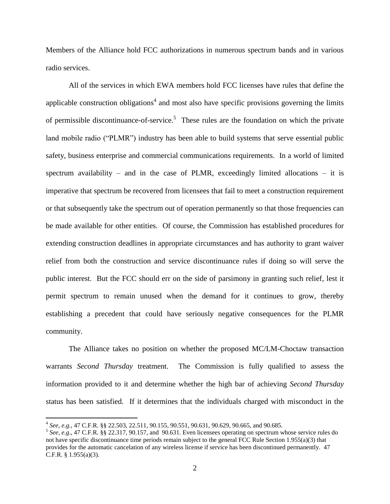Members of the Alliance hold FCC authorizations in numerous spectrum bands and in various radio services.

All of the services in which EWA members hold FCC licenses have rules that define the applicable construction obligations<sup>4</sup> and most also have specific provisions governing the limits of permissible discontinuance-of-service.<sup>5</sup> These rules are the foundation on which the private land mobile radio ("PLMR") industry has been able to build systems that serve essential public safety, business enterprise and commercial communications requirements. In a world of limited spectrum availability – and in the case of PLMR, exceedingly limited allocations – it is imperative that spectrum be recovered from licensees that fail to meet a construction requirement or that subsequently take the spectrum out of operation permanently so that those frequencies can be made available for other entities. Of course, the Commission has established procedures for extending construction deadlines in appropriate circumstances and has authority to grant waiver relief from both the construction and service discontinuance rules if doing so will serve the public interest. But the FCC should err on the side of parsimony in granting such relief, lest it permit spectrum to remain unused when the demand for it continues to grow, thereby establishing a precedent that could have seriously negative consequences for the PLMR community.

The Alliance takes no position on whether the proposed MC/LM-Choctaw transaction warrants *Second Thursday* treatment. The Commission is fully qualified to assess the information provided to it and determine whether the high bar of achieving *Second Thursday* status has been satisfied. If it determines that the individuals charged with misconduct in the

 $\overline{a}$ 

<sup>4</sup> *See, e.g*., 47 C.F.R. §§ 22.503, 22.511, 90.155, 90.551, 90.631, 90.629, 90.665, and 90.685.

<sup>5</sup> *See, e.g*., 47 C.F.R. §§ 22.317, 90.157, and 90.631. Even licensees operating on spectrum whose service rules do not have specific discontinuance time periods remain subject to the general FCC Rule Section 1.955(a)(3) that provides for the automatic cancelation of any wireless license if service has been discontinued permanently. 47 C.F.R. § 1.955(a)(3).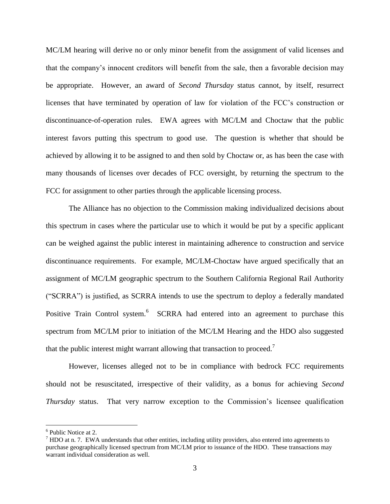MC/LM hearing will derive no or only minor benefit from the assignment of valid licenses and that the company's innocent creditors will benefit from the sale, then a favorable decision may be appropriate. However, an award of *Second Thursday* status cannot, by itself, resurrect licenses that have terminated by operation of law for violation of the FCC's construction or discontinuance-of-operation rules. EWA agrees with MC/LM and Choctaw that the public interest favors putting this spectrum to good use. The question is whether that should be achieved by allowing it to be assigned to and then sold by Choctaw or, as has been the case with many thousands of licenses over decades of FCC oversight, by returning the spectrum to the FCC for assignment to other parties through the applicable licensing process.

The Alliance has no objection to the Commission making individualized decisions about this spectrum in cases where the particular use to which it would be put by a specific applicant can be weighed against the public interest in maintaining adherence to construction and service discontinuance requirements. For example, MC/LM-Choctaw have argued specifically that an assignment of MC/LM geographic spectrum to the Southern California Regional Rail Authority ("SCRRA") is justified, as SCRRA intends to use the spectrum to deploy a federally mandated Positive Train Control system.<sup>6</sup> SCRRA had entered into an agreement to purchase this spectrum from MC/LM prior to initiation of the MC/LM Hearing and the HDO also suggested that the public interest might warrant allowing that transaction to proceed.<sup>7</sup>

However, licenses alleged not to be in compliance with bedrock FCC requirements should not be resuscitated, irrespective of their validity, as a bonus for achieving *Second Thursday* status. That very narrow exception to the Commission's licensee qualification

 $\overline{a}$ 

<sup>&</sup>lt;sup>6</sup> Public Notice at 2.

 $7$  HDO at n. 7. EWA understands that other entities, including utility providers, also entered into agreements to purchase geographically licensed spectrum from MC/LM prior to issuance of the HDO. These transactions may warrant individual consideration as well.